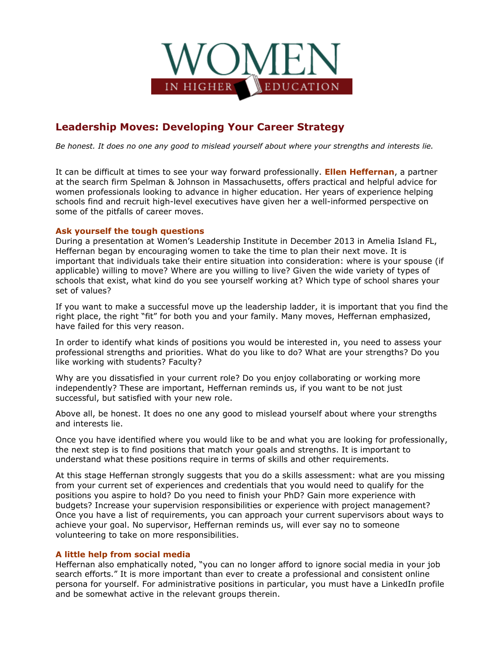

# **Leadership Moves: Developing Your Career Strategy**

*Be honest. It does no one any good to mislead yourself about where your strengths and interests lie.*

It can be difficult at times to see your way forward professionally. **Ellen Heffernan**, a partner at the search firm Spelman & Johnson in Massachusetts, offers practical and helpful advice for women professionals looking to advance in higher education. Her years of experience helping schools find and recruit high-level executives have given her a well-informed perspective on some of the pitfalls of career moves.

## **Ask yourself the tough questions**

During a presentation at Women's Leadership Institute in December 2013 in Amelia Island FL, Heffernan began by encouraging women to take the time to plan their next move. It is important that individuals take their entire situation into consideration: where is your spouse (if applicable) willing to move? Where are you willing to live? Given the wide variety of types of schools that exist, what kind do you see yourself working at? Which type of school shares your set of values?

If you want to make a successful move up the leadership ladder, it is important that you find the right place, the right "fit" for both you and your family. Many moves, Heffernan emphasized, have failed for this very reason.

In order to identify what kinds of positions you would be interested in, you need to assess your professional strengths and priorities. What do you like to do? What are your strengths? Do you like working with students? Faculty?

Why are you dissatisfied in your current role? Do you enjoy collaborating or working more independently? These are important, Heffernan reminds us, if you want to be not just successful, but satisfied with your new role.

Above all, be honest. It does no one any good to mislead yourself about where your strengths and interests lie.

Once you have identified where you would like to be and what you are looking for professionally, the next step is to find positions that match your goals and strengths. It is important to understand what these positions require in terms of skills and other requirements.

At this stage Heffernan strongly suggests that you do a skills assessment: what are you missing from your current set of experiences and credentials that you would need to qualify for the positions you aspire to hold? Do you need to finish your PhD? Gain more experience with budgets? Increase your supervision responsibilities or experience with project management? Once you have a list of requirements, you can approach your current supervisors about ways to achieve your goal. No supervisor, Heffernan reminds us, will ever say no to someone volunteering to take on more responsibilities.

## **A little help from social media**

Heffernan also emphatically noted, "you can no longer afford to ignore social media in your job search efforts." It is more important than ever to create a professional and consistent online persona for yourself. For administrative positions in particular, you must have a LinkedIn profile and be somewhat active in the relevant groups therein.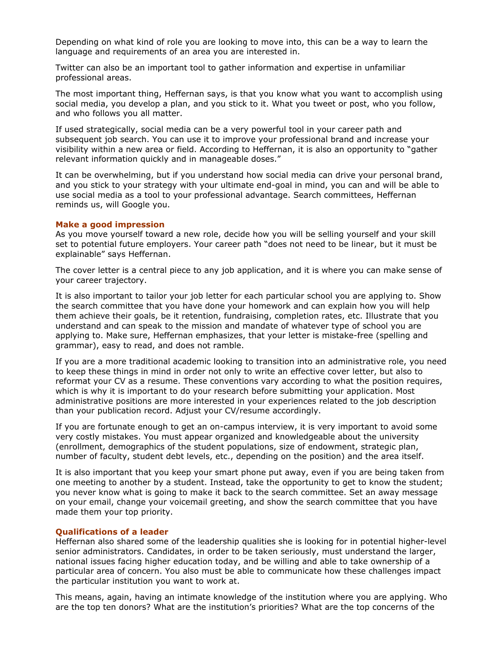Depending on what kind of role you are looking to move into, this can be a way to learn the language and requirements of an area you are interested in.

Twitter can also be an important tool to gather information and expertise in unfamiliar professional areas.

The most important thing, Heffernan says, is that you know what you want to accomplish using social media, you develop a plan, and you stick to it. What you tweet or post, who you follow, and who follows you all matter.

If used strategically, social media can be a very powerful tool in your career path and subsequent job search. You can use it to improve your professional brand and increase your visibility within a new area or field. According to Heffernan, it is also an opportunity to "gather relevant information quickly and in manageable doses."

It can be overwhelming, but if you understand how social media can drive your personal brand, and you stick to your strategy with your ultimate end-goal in mind, you can and will be able to use social media as a tool to your professional advantage. Search committees, Heffernan reminds us, will Google you.

### **Make a good impression**

As you move yourself toward a new role, decide how you will be selling yourself and your skill set to potential future employers. Your career path "does not need to be linear, but it must be explainable" says Heffernan.

The cover letter is a central piece to any job application, and it is where you can make sense of your career trajectory.

It is also important to tailor your job letter for each particular school you are applying to. Show the search committee that you have done your homework and can explain how you will help them achieve their goals, be it retention, fundraising, completion rates, etc. Illustrate that you understand and can speak to the mission and mandate of whatever type of school you are applying to. Make sure, Heffernan emphasizes, that your letter is mistake-free (spelling and grammar), easy to read, and does not ramble.

If you are a more traditional academic looking to transition into an administrative role, you need to keep these things in mind in order not only to write an effective cover letter, but also to reformat your CV as a resume. These conventions vary according to what the position requires, which is why it is important to do your research before submitting your application. Most administrative positions are more interested in your experiences related to the job description than your publication record. Adjust your CV/resume accordingly.

If you are fortunate enough to get an on-campus interview, it is very important to avoid some very costly mistakes. You must appear organized and knowledgeable about the university (enrollment, demographics of the student populations, size of endowment, strategic plan, number of faculty, student debt levels, etc., depending on the position) and the area itself.

It is also important that you keep your smart phone put away, even if you are being taken from one meeting to another by a student. Instead, take the opportunity to get to know the student; you never know what is going to make it back to the search committee. Set an away message on your email, change your voicemail greeting, and show the search committee that you have made them your top priority.

### **Qualifications of a leader**

Heffernan also shared some of the leadership qualities she is looking for in potential higher-level senior administrators. Candidates, in order to be taken seriously, must understand the larger, national issues facing higher education today, and be willing and able to take ownership of a particular area of concern. You also must be able to communicate how these challenges impact the particular institution you want to work at.

This means, again, having an intimate knowledge of the institution where you are applying. Who are the top ten donors? What are the institution's priorities? What are the top concerns of the